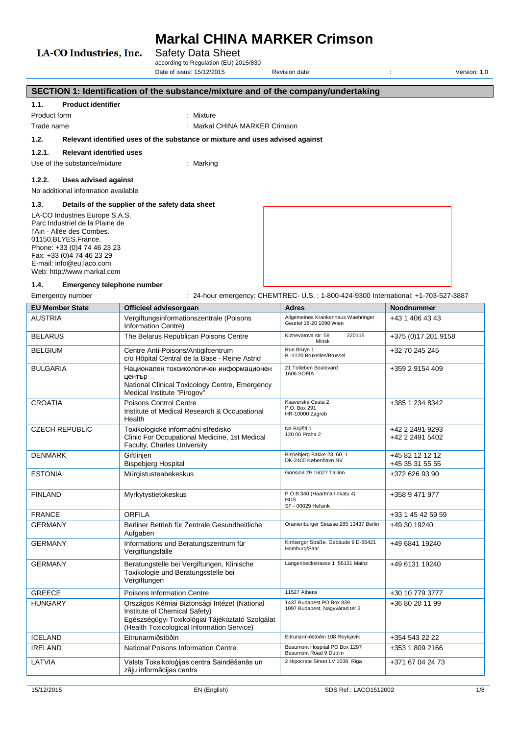## LA-CO Industries, Inc.

## Safety Data Sheet

according to Regulation (EU) 2015/830 Date of issue: 15/12/2015 Revision date:  $\overline{a}$  :  $\overline{b}$  Version: 1.0

**SECTION 1: Identification of the substance/mixture and of the company/undertaking 1.1. Product identifier** Product form : Nixture : Mixture Trade name : Markal CHINA MARKER Crimson **1.2. Relevant identified uses of the substance or mixture and uses advised against 1.2.1. Relevant identified uses** Use of the substance/mixture : Marking **1.2.2. Uses advised against** No additional information available **1.3. Details of the supplier of the safety data sheet** LA-CO Industries Europe S.A.S. Parc Industriel de la Plaine de l'Ain - Allée des Combes. 01150.BLYES.France. Phone: +33 (0)4 74 46 23 23 Fax: +33 (0)4 74 46 23 29 E-mail: info@eu.laco.com Web: http://www.markal.com **1.4. Emergency telephone number** Emergency number : 24-hour emergency: CHEMTREC- U.S.: 1-800-424-9300 International: +1-703-527-3887 **EU Member State Officieel adviesorgaan Adres Noodnummer** AUSTRIA Vergiftungsinformationszentrale (Poisons Information Centre) Allgemeines Krankenhaus Waehringer Allgemeines Krankenhaus Waehringer | 443 1 406 43 43<br>Geurtel 18-20 1090 Wien BELARUS **The Belarus Republican Poisons Centre** Kizhevatova str. 58 220115 Minsk +375 (0)17 201 9158 BELGIUM **Centre Anti-Poisons/Antigifcentrum** c/o Hôpital Central de la Base - Reine Astrid Rue Bruyn 1 B -1120 Bruxelles/Brussel +32 70 245 245 BULGARIA Национален токсикологичен информационен 21 Totleben Boulevard +359 2 9154 409

| <b>EU Member State</b> | Officieel adviesorgaan                                                                                                                                                         | <b>Adres</b>                                                      | <b>Noodnummer</b>                  |
|------------------------|--------------------------------------------------------------------------------------------------------------------------------------------------------------------------------|-------------------------------------------------------------------|------------------------------------|
| <b>AUSTRIA</b>         | Vergiftungsinformationszentrale (Poisons<br>Information Centre)                                                                                                                | Allgemeines Krankenhaus Waehringer<br>Geurtel 18-20 1090 Wien     | +43 1 406 43 43                    |
| <b>BELARUS</b>         | The Belarus Republican Poisons Centre                                                                                                                                          | Kizhevatova str. 58<br>220115<br>Minsk                            | +375 (0) 17 201 9158               |
| <b>BELGIUM</b>         | Centre Anti-Poisons/Antigifcentrum<br>c/o Hôpital Central de la Base - Reine Astrid                                                                                            | Rue Bruyn 1<br>B -1120 Bruxelles/Brussel                          | +32 70 245 245                     |
| <b>BULGARIA</b>        | Национален токсикологичен информационен<br>център<br>National Clinical Toxicology Centre, Emergency<br>Medical Institute "Pirogov"                                             | 21 Totleben Boulevard<br>1606 SOFIA                               | +359 2 9154 409                    |
| <b>CROATIA</b>         | Poisons Control Centre<br>Institute of Medical Research & Occupational<br>Health                                                                                               | Ksaverska Cesta 2<br>P.O. Box 291<br>HR-10000 Zagreb              | +385 1 234 8342                    |
| <b>CZECH REPUBLIC</b>  | Toxikologické informační středisko<br>Clinic For Occupational Medicine, 1st Medical<br>Faculty, Charles University                                                             | Na Bojišti 1<br>120 00 Praha 2                                    | +42 2 2491 9293<br>+42 2 2491 5402 |
| <b>DENMARK</b>         | Giftlinjen<br><b>Bispebjerg Hospital</b>                                                                                                                                       | Bispebjerg Bakke 23, 60, 1<br>DK-2400 København NV                | +45 82 12 12 12<br>+45 35 31 55 55 |
| <b>ESTONIA</b>         | Mürgistusteabekeskus                                                                                                                                                           | Gonsiori 29 15027 Tallinn                                         | +372 626 93 90                     |
| <b>FINLAND</b>         | Myrkytystietokeskus                                                                                                                                                            | P.O.B 340 (Haartmaninkatu 4)<br><b>HUS</b><br>SF - 00029 Helsinki | +358 9 471 977                     |
| <b>FRANCE</b>          | <b>ORFILA</b>                                                                                                                                                                  |                                                                   | +33 1 45 42 59 59                  |
| <b>GERMANY</b>         | Berliner Betrieb für Zentrale Gesundheitliche<br>Aufgaben                                                                                                                      | Oranienburger Strasse 285 13437 Berlin                            | +49 30 19240                       |
| <b>GERMANY</b>         | Informations und Beratungszentrum für<br>Vergiftungsfälle                                                                                                                      | Kirrberger Straße, Gebäude 9 D-66421<br>Homburg/Saar              | +49 6841 19240                     |
| <b>GERMANY</b>         | Beratungstelle bei Vergiftungen, Klinische<br>Toxikologie und Beratungsstelle bei<br>Vergiftungen                                                                              | Langenbeckstrasse 1 55131 Mainz                                   | +49 6131 19240                     |
| <b>GREECE</b>          | Poisons Information Centre                                                                                                                                                     | 11527 Athens                                                      | +30 10 779 3777                    |
| <b>HUNGARY</b>         | Országos Kémiai Biztonsági Intézet (National<br>Institute of Chemical Safety)<br>Egészségügyi Toxikológiai Tájékoztató Szolgálat<br>(Health Toxicological Information Service) | 1437 Budapest PO Box 839<br>1097 Budapest, Nagyvárad tér 2        | +36 80 20 11 99                    |
| <b>ICELAND</b>         | Eitrunarmiðstöðin                                                                                                                                                              | Eitrunarmiðstöðin 108 Reykjavik                                   | +354 543 22 22                     |
| <b>IRELAND</b>         | National Poisons Information Centre                                                                                                                                            | Beaumont Hospital PO Box 1297<br>Beaumont Road 9 Dublin           | +353 1 809 2166                    |
| LATVIA                 | Valsts Toksikoloģijas centra Saindēšanās un<br>zāļu informācijas centrs                                                                                                        | 2 Hipocrate Street LV 1038 Riga                                   | +371 67 04 24 73                   |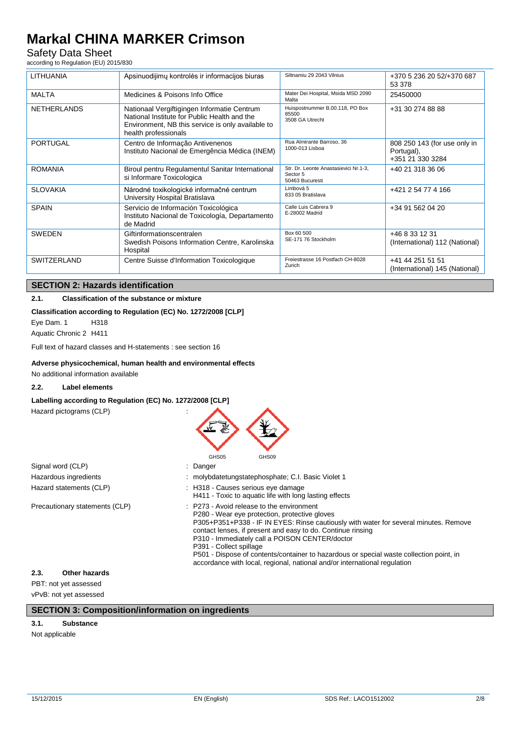## Safety Data Sheet

according to Regulation (EU) 2015/830

| <b>LITHUANIA</b>   | Apsinuodijimų kontrolės ir informacijos biuras                                                                                                                           | Siltnamiu 29 2043 Vilnius                                            | +370 5 236 20 52/+370 687<br>53 378                            |
|--------------------|--------------------------------------------------------------------------------------------------------------------------------------------------------------------------|----------------------------------------------------------------------|----------------------------------------------------------------|
| <b>MALTA</b>       | Medicines & Poisons Info Office                                                                                                                                          | Mater Dei Hospital, Msida MSD 2090<br>Malta                          | 25450000                                                       |
| <b>NETHERLANDS</b> | Nationaal Vergiftigingen Informatie Centrum<br>National Institute for Public Health and the<br>Environment, NB this service is only available to<br>health professionals | Huispostnummer B.00.118, PO Box<br>85500<br>3508 GA Utrecht          | +31 30 274 88 88                                               |
| PORTUGAL           | Centro de Informação Antivenenos<br>Instituto Nacional de Emergência Médica (INEM)                                                                                       | Rua Almirante Barroso, 36<br>1000-013 Lisboa                         | 808 250 143 (for use only in<br>Portugal),<br>+351 21 330 3284 |
| <b>ROMANIA</b>     | Biroul pentru Regulamentul Sanitar International<br>si Informare Toxicologica                                                                                            | Str. Dr. Leonte Anastasievici Nr.1-3,<br>Sector 5<br>50463 Bucuresti | +40 21 318 36 06                                               |
| <b>SLOVAKIA</b>    | Národné toxikologické informačné centrum<br>University Hospital Bratislava                                                                                               | Limbová 5<br>833 05 Bratislava                                       | +421 2 54 77 4 166                                             |
| <b>SPAIN</b>       | Servicio de Información Toxicológica<br>Instituto Nacional de Toxicología, Departamento<br>de Madrid                                                                     | Calle Luis Cabrera 9<br>E-28002 Madrid                               | +34 91 562 04 20                                               |
| <b>SWEDEN</b>      | Giftinformationscentralen<br>Swedish Poisons Information Centre, Karolinska<br>Hospital                                                                                  | Box 60 500<br>SE-171 76 Stockholm                                    | +46 8 33 12 31<br>(International) 112 (National)               |
| <b>SWITZERLAND</b> | Centre Suisse d'Information Toxicologique                                                                                                                                | Freiestrasse 16 Postfach CH-8028<br>Zurich                           | +41 44 251 51 51<br>(International) 145 (National)             |

### **SECTION 2: Hazards identification**

### **2.1. Classification of the substance or mixture**

### **Classification according to Regulation (EC) No. 1272/2008 [CLP]**

Eye Dam. 1 H318 Aquatic Chronic 2 H411

Full text of hazard classes and H-statements : see section 16

### **Adverse physicochemical, human health and environmental effects**

No additional information available

### **2.2. Label elements**

### **Labelling according to Regulation (EC) No. 1272/2008 [CLP]**

Hazard pictograms (CLP) :



|                                | GHSUS<br>GHSUY                                                                                                                                                                                                                                                                                                                                                                                                                                                                                                    |
|--------------------------------|-------------------------------------------------------------------------------------------------------------------------------------------------------------------------------------------------------------------------------------------------------------------------------------------------------------------------------------------------------------------------------------------------------------------------------------------------------------------------------------------------------------------|
| Signal word (CLP)              | : Danger                                                                                                                                                                                                                                                                                                                                                                                                                                                                                                          |
| Hazardous ingredients          | : molybdatetungstatephosphate; C.I. Basic Violet 1                                                                                                                                                                                                                                                                                                                                                                                                                                                                |
| Hazard statements (CLP)        | : H318 - Causes serious eye damage<br>H411 - Toxic to aquatic life with long lasting effects                                                                                                                                                                                                                                                                                                                                                                                                                      |
| Precautionary statements (CLP) | $\therefore$ P273 - Avoid release to the environment<br>P280 - Wear eye protection, protective gloves<br>P305+P351+P338 - IF IN EYES: Rinse cautiously with water for several minutes. Remove<br>contact lenses, if present and easy to do. Continue rinsing<br>P310 - Immediately call a POISON CENTER/doctor<br>P391 - Collect spillage<br>P501 - Dispose of contents/container to hazardous or special waste collection point, in<br>accordance with local, regional, national and/or international regulation |

### **2.3. Other hazards**

PBT: not yet assessed vPvB: not yet assessed

### **SECTION 3: Composition/information on ingredients**

### **3.1. Substance**

Not applicable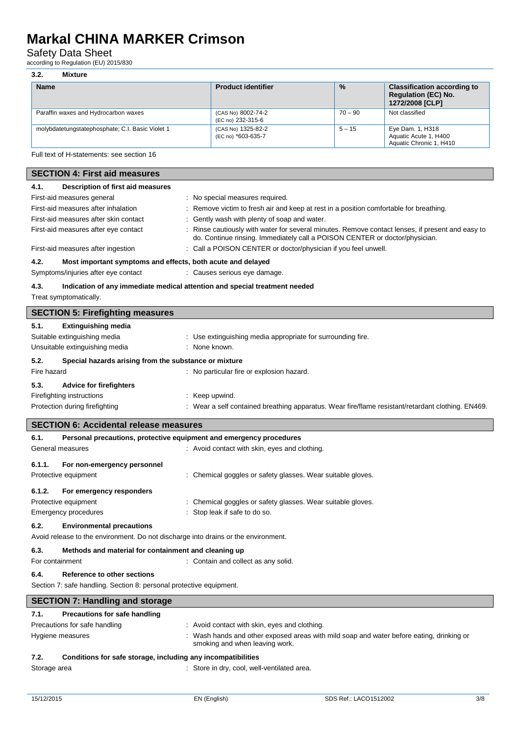## Safety Data Sheet

according to Regulation (EU) 2015/830

### **3.2. Mixture**

| <b>Name</b>                                      | <b>Product identifier</b>                | $\frac{0}{0}$ | <b>Classification according to</b><br><b>Regulation (EC) No.</b><br>1272/2008 [CLP] |
|--------------------------------------------------|------------------------------------------|---------------|-------------------------------------------------------------------------------------|
| Paraffin waxes and Hydrocarbon waxes             | (CAS No) 8002-74-2<br>(EC no) 232-315-6  | $70 - 90$     | Not classified                                                                      |
| molybdatetungstatephosphate; C.I. Basic Violet 1 | (CAS No) 1325-82-2<br>(EC no) *603-635-7 | $5 - 15$      | Eye Dam. 1, H318<br>Aquatic Acute 1, H400<br>Aquatic Chronic 1, H410                |

Full text of H-statements: see section 16

| <b>SECTION 4: First aid measures</b>                                               |                                                                                                                                                                                 |
|------------------------------------------------------------------------------------|---------------------------------------------------------------------------------------------------------------------------------------------------------------------------------|
| 4.1.<br>Description of first aid measures                                          |                                                                                                                                                                                 |
| First-aid measures general                                                         | : No special measures required.                                                                                                                                                 |
| First-aid measures after inhalation                                                | : Remove victim to fresh air and keep at rest in a position comfortable for breathing.                                                                                          |
| First-aid measures after skin contact                                              | : Gently wash with plenty of soap and water.                                                                                                                                    |
| First-aid measures after eye contact                                               | : Rinse cautiously with water for several minutes. Remove contact lenses, if present and easy to<br>do. Continue rinsing. Immediately call a POISON CENTER or doctor/physician. |
| First-aid measures after ingestion                                                 | : Call a POISON CENTER or doctor/physician if you feel unwell.                                                                                                                  |
| 4.2.<br>Most important symptoms and effects, both acute and delayed                |                                                                                                                                                                                 |
| Symptoms/injuries after eye contact                                                | : Causes serious eye damage.                                                                                                                                                    |
| 4.3.                                                                               | Indication of any immediate medical attention and special treatment needed                                                                                                      |
| Treat symptomatically.                                                             |                                                                                                                                                                                 |
| <b>SECTION 5: Firefighting measures</b>                                            |                                                                                                                                                                                 |
| 5.1.<br><b>Extinguishing media</b>                                                 |                                                                                                                                                                                 |
| Suitable extinguishing media                                                       | : Use extinguishing media appropriate for surrounding fire.                                                                                                                     |
| Unsuitable extinguishing media                                                     | : None known.                                                                                                                                                                   |
| 5.2.<br>Special hazards arising from the substance or mixture                      |                                                                                                                                                                                 |
| Fire hazard                                                                        | : No particular fire or explosion hazard.                                                                                                                                       |
| 5.3.<br><b>Advice for firefighters</b>                                             |                                                                                                                                                                                 |
| Firefighting instructions                                                          | : Keep upwind.                                                                                                                                                                  |
| Protection during firefighting                                                     | : Wear a self contained breathing apparatus. Wear fire/flame resistant/retardant clothing. EN469.                                                                               |
|                                                                                    |                                                                                                                                                                                 |
| <b>SECTION 6: Accidental release measures</b>                                      |                                                                                                                                                                                 |
| 6.1.<br>Personal precautions, protective equipment and emergency procedures        |                                                                                                                                                                                 |
| General measures                                                                   | : Avoid contact with skin, eyes and clothing.                                                                                                                                   |
| 6.1.1.<br>For non-emergency personnel                                              |                                                                                                                                                                                 |
| Protective equipment                                                               | : Chemical goggles or safety glasses. Wear suitable gloves.                                                                                                                     |
| 6.1.2.<br>For emergency responders                                                 |                                                                                                                                                                                 |
| Protective equipment                                                               | : Chemical goggles or safety glasses. Wear suitable gloves.                                                                                                                     |
| <b>Emergency procedures</b>                                                        | : Stop leak if safe to do so.                                                                                                                                                   |
| 6.2.<br><b>Environmental precautions</b>                                           |                                                                                                                                                                                 |
| Avoid release to the environment. Do not discharge into drains or the environment. |                                                                                                                                                                                 |
|                                                                                    |                                                                                                                                                                                 |
| 6.3.<br>Methods and material for containment and cleaning up                       | : Contain and collect as any solid.                                                                                                                                             |
| For containment                                                                    |                                                                                                                                                                                 |
| 6.4.<br>Reference to other sections                                                |                                                                                                                                                                                 |
| Section 7: safe handling. Section 8: personal protective equipment.                |                                                                                                                                                                                 |
| <b>SECTION 7: Handling and storage</b>                                             |                                                                                                                                                                                 |
| Precautions for safe handling<br>7.1.                                              |                                                                                                                                                                                 |
| Precautions for safe handling                                                      | : Avoid contact with skin, eyes and clothing.                                                                                                                                   |
| Hygiene measures                                                                   | : Wash hands and other exposed areas with mild soap and water before eating, drinking or<br>smoking and when leaving work.                                                      |

### **7.2. Conditions for safe storage, including any incompatibilities**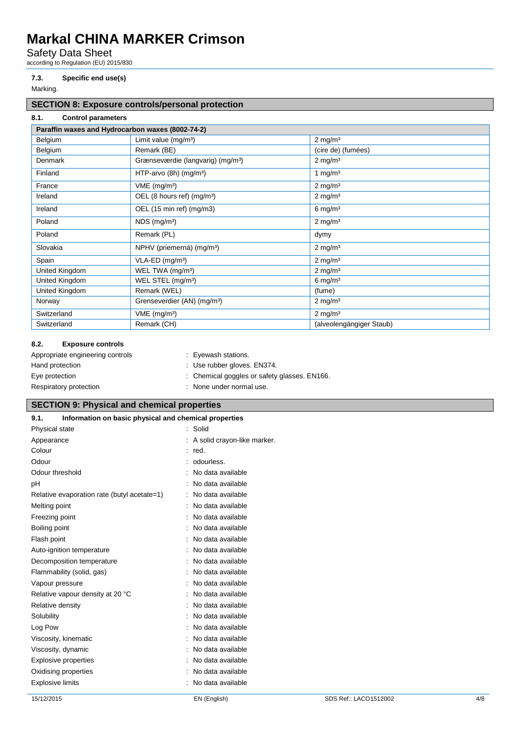Safety Data Sheet

according to Regulation (EU) 2015/830

### **7.3. Specific end use(s)**

Marking.

## **SECTION 8: Exposure controls/personal protection**

**8.1. Control parameters**

| Paraffin waxes and Hydrocarbon waxes (8002-74-2) |                                               |                          |
|--------------------------------------------------|-----------------------------------------------|--------------------------|
| Belgium                                          | Limit value (mg/m <sup>3</sup> )              | $2 \text{ mg/m}^3$       |
| Belgium                                          | Remark (BE)                                   | (cire de) (fumées)       |
| <b>Denmark</b>                                   | Grænseværdie (langvarig) (mg/m <sup>3</sup> ) | $2$ mg/m <sup>3</sup>    |
| Finland                                          | HTP-arvo (8h) (mg/m <sup>3</sup> )            | 1 mg/ $m3$               |
| France                                           | VME (mg/m <sup>3</sup> )                      | $2 \text{ mg/m}^3$       |
| Ireland                                          | OEL (8 hours ref) (mg/m <sup>3</sup> )        | $2 \text{ mg/m}^3$       |
| Ireland                                          | OEL (15 min ref) (mg/m3)                      | $6 \text{ mg/m}^3$       |
| Poland                                           | $NDS$ (mg/m <sup>3</sup> )                    | $2$ mg/m <sup>3</sup>    |
| Poland                                           | Remark (PL)                                   | dymy                     |
| Slovakia                                         | NPHV (priemerná) (mg/m <sup>3</sup> )         | $2 \text{ mg/m}^3$       |
| Spain                                            | VLA-ED (mg/m <sup>3</sup> )                   | $2 \text{ mg/m}^3$       |
| United Kingdom                                   | WEL TWA (mg/m <sup>3</sup> )                  | $2 \text{ mg/m}^3$       |
| United Kingdom                                   | WEL STEL (mg/m <sup>3</sup> )                 | $6 \text{ mg/m}^3$       |
| United Kingdom                                   | Remark (WEL)                                  | (fume)                   |
| Norway                                           | Grenseverdier (AN) (mg/m <sup>3</sup> )       | $2 \text{ mg/m}^3$       |
| Switzerland                                      | VME (mg/m <sup>3</sup> )                      | $2 \text{ mg/m}^3$       |
| Switzerland                                      | Remark (CH)                                   | (alveolengängiger Staub) |

### **8.2. Exposure controls**

| Appropriate engineering controls | : Eyewash stations.                          |
|----------------------------------|----------------------------------------------|
| Hand protection                  | : Use rubber gloves. EN374.                  |
| Eye protection                   | : Chemical goggles or safety glasses. EN166. |
| Respiratory protection           | : None under normal use.                     |

## **SECTION 9: Physical and chemical properties**

| Information on basic physical and chemical properties<br>9.1. |                               |                       |     |
|---------------------------------------------------------------|-------------------------------|-----------------------|-----|
| Physical state                                                | : Solid                       |                       |     |
| Appearance                                                    | : A solid crayon-like marker. |                       |     |
| Colour                                                        | $:$ red.                      |                       |     |
| Odour                                                         | : odourless.                  |                       |     |
| Odour threshold                                               | : No data available           |                       |     |
| pH                                                            | : No data available           |                       |     |
| Relative evaporation rate (butyl acetate=1)                   | : No data available           |                       |     |
| Melting point                                                 | No data available             |                       |     |
| Freezing point                                                | : No data available           |                       |     |
| Boiling point                                                 | No data available             |                       |     |
| Flash point                                                   | : No data available           |                       |     |
| Auto-ignition temperature                                     | : No data available           |                       |     |
| Decomposition temperature                                     | : No data available           |                       |     |
| Flammability (solid, gas)                                     | : No data available           |                       |     |
| Vapour pressure                                               | : No data available           |                       |     |
| Relative vapour density at 20 °C                              | : No data available           |                       |     |
| Relative density                                              | No data available             |                       |     |
| Solubility                                                    | : No data available           |                       |     |
| Log Pow                                                       | : No data available           |                       |     |
| Viscosity, kinematic                                          | : No data available           |                       |     |
| Viscosity, dynamic                                            | No data available             |                       |     |
| <b>Explosive properties</b>                                   | : No data available           |                       |     |
| Oxidising properties                                          | : No data available           |                       |     |
| <b>Explosive limits</b>                                       | : No data available           |                       |     |
| 15/12/2015                                                    | EN (English)                  | SDS Ref.: LACO1512002 | 4/8 |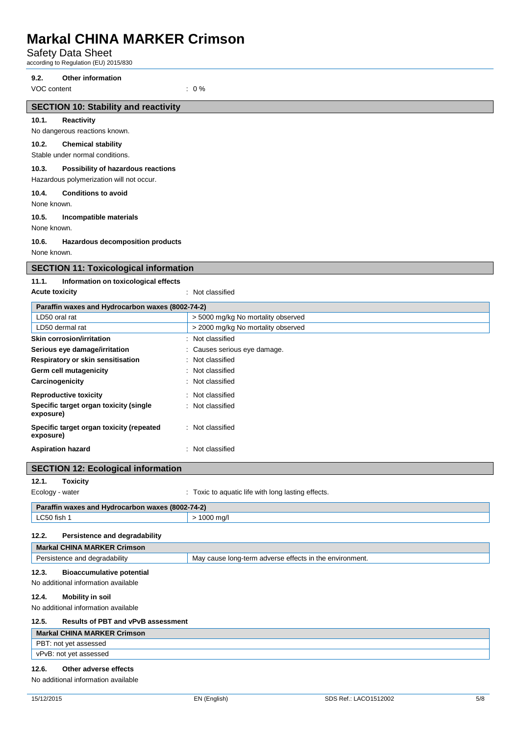Safety Data Sheet

according to Regulation (EU) 2015/830

No dangerous reactions known. **10.2. Chemical stability** Stable under normal conditions.

**10.4. Conditions to avoid**

**10.5. Incompatible materials**

**SECTION 10: Stability and reactivity**

**10.3. Possibility of hazardous reactions** Hazardous polymerization will not occur.

**10.6. Hazardous decomposition products**

**9.2. Other information**

VOC content : 0 %

None known.

None known.

None known.

**10.1. Reactivity**

| <b>SECTION 11: Toxicological information</b>                               |                                                         |
|----------------------------------------------------------------------------|---------------------------------------------------------|
| 11.1.<br>Information on toxicological effects                              |                                                         |
| <b>Acute toxicity</b>                                                      | : Not classified                                        |
| Paraffin waxes and Hydrocarbon waxes (8002-74-2)                           |                                                         |
| LD50 oral rat                                                              | > 5000 mg/kg No mortality observed                      |
| LD50 dermal rat                                                            | > 2000 mg/kg No mortality observed                      |
| <b>Skin corrosion/irritation</b>                                           | : Not classified                                        |
| Serious eye damage/irritation                                              | : Causes serious eye damage.                            |
| Respiratory or skin sensitisation                                          | : Not classified                                        |
| Germ cell mutagenicity                                                     | Not classified                                          |
| Carcinogenicity                                                            | Not classified                                          |
| <b>Reproductive toxicity</b>                                               | : Not classified                                        |
| Specific target organ toxicity (single                                     | : Not classified                                        |
| exposure)                                                                  |                                                         |
| Specific target organ toxicity (repeated                                   | : Not classified                                        |
| exposure)                                                                  |                                                         |
| <b>Aspiration hazard</b>                                                   | : Not classified                                        |
|                                                                            |                                                         |
| <b>SECTION 12: Ecological information</b>                                  |                                                         |
| 12.1.<br><b>Toxicity</b>                                                   |                                                         |
| Ecology - water                                                            | : Toxic to aquatic life with long lasting effects.      |
| Paraffin waxes and Hydrocarbon waxes (8002-74-2)                           |                                                         |
| LC50 fish 1                                                                | > 1000 mg/l                                             |
| 12.2.                                                                      |                                                         |
| <b>Persistence and degradability</b><br><b>Markal CHINA MARKER Crimson</b> |                                                         |
| Persistence and degradability                                              | May cause long-term adverse effects in the environment. |
|                                                                            |                                                         |
| 12.3.<br><b>Bioaccumulative potential</b>                                  |                                                         |
| No additional information available                                        |                                                         |
| 12.4.<br><b>Mobility in soil</b>                                           |                                                         |
| No additional information available                                        |                                                         |
| 12.5.<br><b>Results of PBT and vPvB assessment</b>                         |                                                         |
| <b>Markal CHINA MARKER Crimson</b>                                         |                                                         |
| PBT: not yet assessed                                                      |                                                         |
| vPvB: not yet assessed                                                     |                                                         |
| Other adverse effects<br>12.6.                                             |                                                         |
| No additional information available                                        |                                                         |
|                                                                            |                                                         |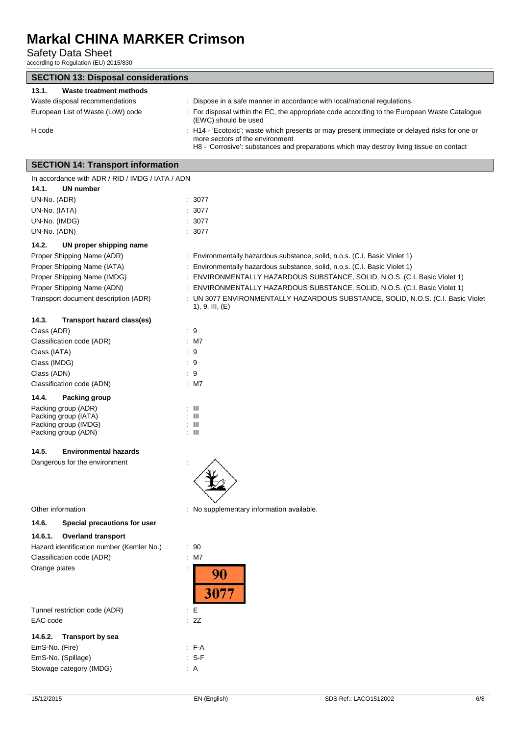Safety Data Sheet

according to Regulation (EU) 2015/830

| <b>SECTION 13: Disposal considerations</b>       |                                                                                                                                  |
|--------------------------------------------------|----------------------------------------------------------------------------------------------------------------------------------|
| 13.1.<br><b>Waste treatment methods</b>          |                                                                                                                                  |
| Waste disposal recommendations                   | : Dispose in a safe manner in accordance with local/national regulations.                                                        |
| European List of Waste (LoW) code                | : For disposal within the EC, the appropriate code according to the European Waste Catalogue<br>(EWC) should be used             |
| H code                                           | : H14 - 'Ecotoxic': waste which presents or may present immediate or delayed risks for one or<br>more sectors of the environment |
|                                                  | H8 - 'Corrosive': substances and preparations which may destroy living tissue on contact                                         |
| <b>SECTION 14: Transport information</b>         |                                                                                                                                  |
| In accordance with ADR / RID / IMDG / IATA / ADN |                                                                                                                                  |
| 14.1.<br><b>UN number</b>                        |                                                                                                                                  |
| UN-No. (ADR)                                     | : 3077                                                                                                                           |
| UN-No. (IATA)                                    | : 3077                                                                                                                           |
| UN-No. (IMDG)                                    | : 3077                                                                                                                           |
| UN-No. (ADN)                                     | : 3077                                                                                                                           |
| 14.2.<br>UN proper shipping name                 |                                                                                                                                  |
| Proper Shipping Name (ADR)                       | : Environmentally hazardous substance, solid, n.o.s. (C.I. Basic Violet 1)                                                       |
| Proper Shipping Name (IATA)                      | : Environmentally hazardous substance, solid, n.o.s. (C.I. Basic Violet 1)                                                       |
| Proper Shipping Name (IMDG)                      | : ENVIRONMENTALLY HAZARDOUS SUBSTANCE, SOLID, N.O.S. (C.I. Basic Violet 1)                                                       |
| Proper Shipping Name (ADN)                       | : ENVIRONMENTALLY HAZARDOUS SUBSTANCE, SOLID, N.O.S. (C.I. Basic Violet 1)                                                       |
| Transport document description (ADR)             | : UN 3077 ENVIRONMENTALLY HAZARDOUS SUBSTANCE, SOLID, N.O.S. (C.I. Basic Violet<br>1), 9, III, (E)                               |
| 14.3.<br>Transport hazard class(es)              |                                                                                                                                  |
| Class (ADR)                                      | : 9                                                                                                                              |
| Classification code (ADR)                        | : M7                                                                                                                             |
| Class (IATA)                                     | : 9                                                                                                                              |
| Class (IMDG)                                     | : 9                                                                                                                              |
| Class (ADN)                                      | :9                                                                                                                               |
| Classification code (ADN)                        | $:$ M7                                                                                                                           |
| 14.4.<br>Packing group                           |                                                                                                                                  |
| Packing group (ADR)                              | : III                                                                                                                            |
| Packing group (IATA)                             | : III                                                                                                                            |
| Packing group (IMDG)                             | : III                                                                                                                            |
| Packing group (ADN)                              | : III                                                                                                                            |
| 14.5.<br><b>Environmental hazards</b>            |                                                                                                                                  |
| Dangerous for the environment                    | ᄉ                                                                                                                                |
|                                                  |                                                                                                                                  |
| Other information                                | : No supplementary information available.                                                                                        |
| 14.6.<br>Special precautions for user            |                                                                                                                                  |
| 14.6.1.<br><b>Overland transport</b>             |                                                                                                                                  |
| Hazard identification number (Kemler No.)        | : 90                                                                                                                             |
| Classification code (ADR)                        | : M7                                                                                                                             |
| Orange plates                                    |                                                                                                                                  |
|                                                  | 90<br>3077                                                                                                                       |
|                                                  |                                                                                                                                  |
| Tunnel restriction code (ADR)                    | E                                                                                                                                |
| EAC code                                         | : 2Z                                                                                                                             |
| <b>Transport by sea</b><br>14.6.2.               |                                                                                                                                  |
| EmS-No. (Fire)                                   | : FA                                                                                                                             |
| EmS-No. (Spillage)                               | $: S-F$                                                                                                                          |
| Stowage category (IMDG)                          | : A                                                                                                                              |
|                                                  |                                                                                                                                  |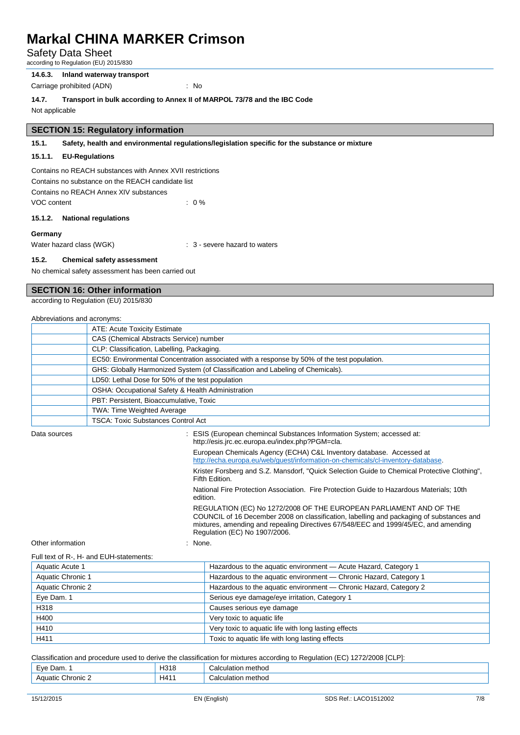Safety Data Sheet

according to Regulation (EU) 2015/830

**14.6.3. Inland waterway transport**

Carriage prohibited (ADN) : No

**14.7. Transport in bulk according to Annex II of MARPOL 73/78 and the IBC Code**

Not applicable

### **SECTION 15: Regulatory information**

#### **15.1. Safety, health and environmental regulations/legislation specific for the substance or mixture**

#### **15.1.1. EU-Regulations**

Contains no REACH substances with Annex XVII restrictions Contains no substance on the REACH candidate list Contains no REACH Annex XIV substances VOC content : 0 %

#### **15.1.2. National regulations**

#### **Germany**

Water hazard class (WGK)  $\cdot$  3 - severe hazard to waters

#### **15.2. Chemical safety assessment**

No chemical safety assessment has been carried out

## **SECTION 16: Other information**

according to Regulation (EU) 2015/830

| Abbreviations and acronyms: |  |
|-----------------------------|--|
|-----------------------------|--|

| <b>ATE: Acute Toxicity Estimate</b>                                                         |
|---------------------------------------------------------------------------------------------|
| CAS (Chemical Abstracts Service) number                                                     |
| CLP: Classification, Labelling, Packaging.                                                  |
| EC50: Environmental Concentration associated with a response by 50% of the test population. |
| GHS: Globally Harmonized System (of Classification and Labeling of Chemicals).              |
| LD50: Lethal Dose for 50% of the test population                                            |
| OSHA: Occupational Safety & Health Administration                                           |
| PBT: Persistent, Bioaccumulative, Toxic                                                     |
| <b>TWA: Time Weighted Average</b>                                                           |
| TSCA: Toxic Substances Control Act                                                          |
|                                                                                             |

Data sources **included at the SIS (European chemincal Substances Information System**; accessed at: http://esis.jrc.ec.europa.eu/index.php?PGM=cla. European Chemicals Agency (ECHA) C&L Inventory database. Accessed at [http://echa.europa.eu/web/guest/information-on-chemicals/cl-inventory-database.](http://echa.europa.eu/web/guest/information-on-chemicals/cl-inventory-database) Krister Forsberg and S.Z. Mansdorf, "Quick Selection Guide to Chemical Protective Clothing", Fifth Edition. National Fire Protection Association. Fire Protection Guide to Hazardous Materials; 10th edition. REGULATION (EC) No 1272/2008 OF THE EUROPEAN PARLIAMENT AND OF THE COUNCIL of 16 December 2008 on classification, labelling and packaging of substances and mixtures, amending and repealing Directives 67/548/EEC and 1999/45/EC, and amending Regulation (EC) No 1907/2006. Other information in the set of the set of the set of the set of the set of the set of the set of the set of the set of the set of the set of the set of the set of the set of the set of the set of the set of the set of the Full text of R-, H- and EUH-statements:

| Aquatic Acute 1   | Hazardous to the aquatic environment - Acute Hazard, Category 1   |  |
|-------------------|-------------------------------------------------------------------|--|
| Aquatic Chronic 1 | Hazardous to the aquatic environment - Chronic Hazard, Category 1 |  |
| Aquatic Chronic 2 | Hazardous to the aquatic environment - Chronic Hazard, Category 2 |  |
| Eye Dam. 1        | Serious eye damage/eye irritation, Category 1                     |  |
| H318              | Causes serious eye damage                                         |  |
| H400              | Very toxic to aquatic life                                        |  |
| H410              | Very toxic to aquatic life with long lasting effects              |  |
| H411              | Toxic to aquatic life with long lasting effects                   |  |

Classification and procedure used to derive the classification for mixtures according to Regulation (EC) 1272/2008 [CLP]:

| HA.<br>.<br>onic<br>.nr<br>nemo<br>. | ٦r<br>$\ddot{\phantom{0}}$<br>$\mathbf{v}$<br>_ | . .<br>____ | netnoc |
|--------------------------------------|-------------------------------------------------|-------------|--------|
|                                      |                                                 |             |        |